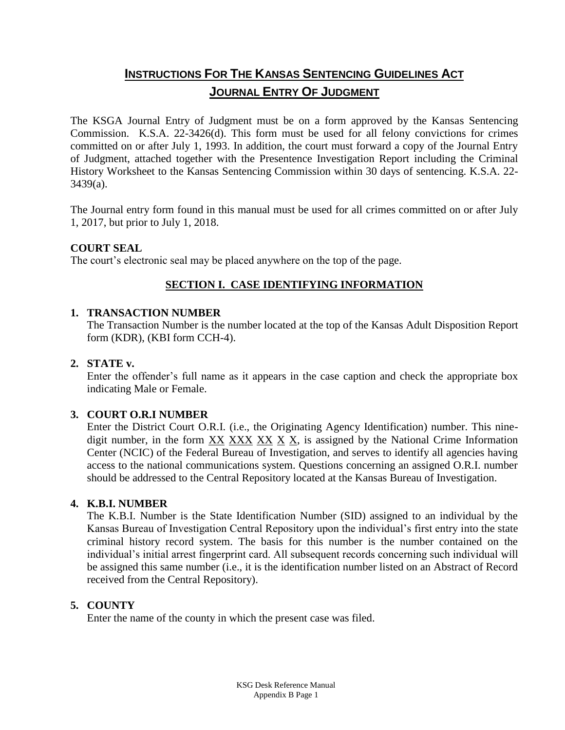# **INSTRUCTIONS FOR THE KANSAS SENTENCING GUIDELINES ACT JOURNAL ENTRY OF JUDGMENT**

The KSGA Journal Entry of Judgment must be on a form approved by the Kansas Sentencing Commission. K.S.A. 22-3426(d). This form must be used for all felony convictions for crimes committed on or after July 1, 1993. In addition, the court must forward a copy of the Journal Entry of Judgment, attached together with the Presentence Investigation Report including the Criminal History Worksheet to the Kansas Sentencing Commission within 30 days of sentencing. K.S.A. 22- 3439(a).

The Journal entry form found in this manual must be used for all crimes committed on or after July 1, 2017, but prior to July 1, 2018.

### **COURT SEAL**

The court's electronic seal may be placed anywhere on the top of the page.

## **SECTION I. CASE IDENTIFYING INFORMATION**

### **1. TRANSACTION NUMBER**

The Transaction Number is the number located at the top of the Kansas Adult Disposition Report form (KDR), (KBI form CCH-4).

## **2. STATE v.**

Enter the offender's full name as it appears in the case caption and check the appropriate box indicating Male or Female.

### **3. COURT O.R.I NUMBER**

Enter the District Court O.R.I. (i.e., the Originating Agency Identification) number. This ninedigit number, in the form XX XXX XX X X, is assigned by the National Crime Information Center (NCIC) of the Federal Bureau of Investigation, and serves to identify all agencies having access to the national communications system. Questions concerning an assigned O.R.I. number should be addressed to the Central Repository located at the Kansas Bureau of Investigation.

### **4. K.B.I. NUMBER**

The K.B.I. Number is the State Identification Number (SID) assigned to an individual by the Kansas Bureau of Investigation Central Repository upon the individual's first entry into the state criminal history record system. The basis for this number is the number contained on the individual's initial arrest fingerprint card. All subsequent records concerning such individual will be assigned this same number (i.e., it is the identification number listed on an Abstract of Record received from the Central Repository).

## **5. COUNTY**

Enter the name of the county in which the present case was filed.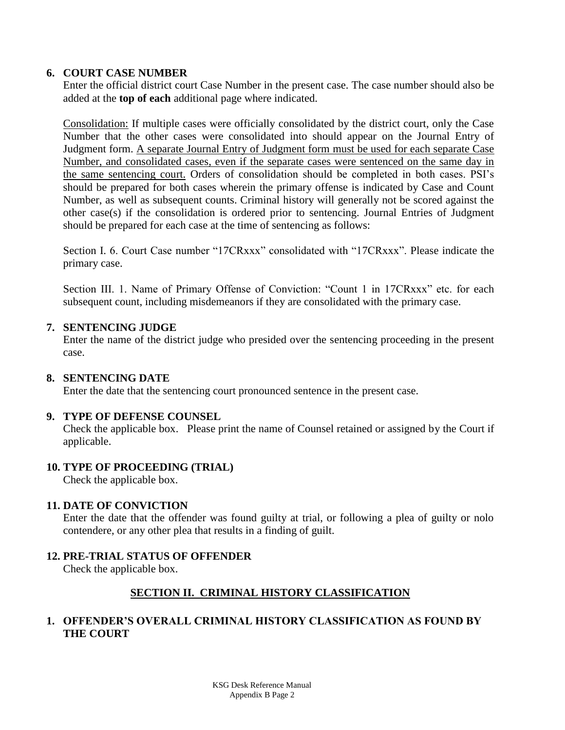### **6. COURT CASE NUMBER**

Enter the official district court Case Number in the present case. The case number should also be added at the **top of each** additional page where indicated.

Consolidation: If multiple cases were officially consolidated by the district court, only the Case Number that the other cases were consolidated into should appear on the Journal Entry of Judgment form. A separate Journal Entry of Judgment form must be used for each separate Case Number, and consolidated cases, even if the separate cases were sentenced on the same day in the same sentencing court. Orders of consolidation should be completed in both cases. PSI's should be prepared for both cases wherein the primary offense is indicated by Case and Count Number, as well as subsequent counts. Criminal history will generally not be scored against the other case(s) if the consolidation is ordered prior to sentencing. Journal Entries of Judgment should be prepared for each case at the time of sentencing as follows:

Section I. 6. Court Case number "17CRxxx" consolidated with "17CRxxx". Please indicate the primary case.

Section III. 1. Name of Primary Offense of Conviction: "Count 1 in 17CRxxx" etc. for each subsequent count, including misdemeanors if they are consolidated with the primary case.

### **7. SENTENCING JUDGE**

Enter the name of the district judge who presided over the sentencing proceeding in the present case.

## **8. SENTENCING DATE**

Enter the date that the sentencing court pronounced sentence in the present case.

## **9. TYPE OF DEFENSE COUNSEL**

Check the applicable box. Please print the name of Counsel retained or assigned by the Court if applicable.

## **10. TYPE OF PROCEEDING (TRIAL)**

Check the applicable box.

### **11. DATE OF CONVICTION**

Enter the date that the offender was found guilty at trial, or following a plea of guilty or nolo contendere, or any other plea that results in a finding of guilt.

## **12. PRE-TRIAL STATUS OF OFFENDER**

Check the applicable box.

## **SECTION II. CRIMINAL HISTORY CLASSIFICATION**

## **1. OFFENDER'S OVERALL CRIMINAL HISTORY CLASSIFICATION AS FOUND BY THE COURT**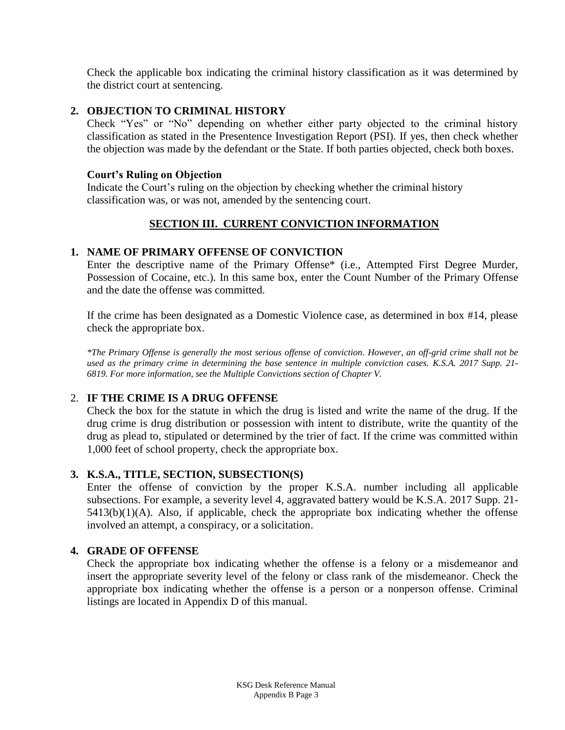Check the applicable box indicating the criminal history classification as it was determined by the district court at sentencing.

### **2. OBJECTION TO CRIMINAL HISTORY**

Check "Yes" or "No" depending on whether either party objected to the criminal history classification as stated in the Presentence Investigation Report (PSI). If yes, then check whether the objection was made by the defendant or the State. If both parties objected, check both boxes.

### **Court's Ruling on Objection**

Indicate the Court's ruling on the objection by checking whether the criminal history classification was, or was not, amended by the sentencing court.

## **SECTION III. CURRENT CONVICTION INFORMATION**

## **1. NAME OF PRIMARY OFFENSE OF CONVICTION**

Enter the descriptive name of the Primary Offense\* (i.e., Attempted First Degree Murder, Possession of Cocaine, etc.). In this same box, enter the Count Number of the Primary Offense and the date the offense was committed.

If the crime has been designated as a Domestic Violence case, as determined in box #14, please check the appropriate box.

*\*The Primary Offense is generally the most serious offense of conviction. However, an off-grid crime shall not be used as the primary crime in determining the base sentence in multiple conviction cases. K.S.A. 2017 Supp. 21- 6819. For more information, see the Multiple Convictions section of Chapter V.*

## 2. **IF THE CRIME IS A DRUG OFFENSE**

Check the box for the statute in which the drug is listed and write the name of the drug. If the drug crime is drug distribution or possession with intent to distribute, write the quantity of the drug as plead to, stipulated or determined by the trier of fact. If the crime was committed within 1,000 feet of school property, check the appropriate box.

## **3. K.S.A., TITLE, SECTION, SUBSECTION(S)**

Enter the offense of conviction by the proper K.S.A. number including all applicable subsections. For example, a severity level 4, aggravated battery would be K.S.A. 2017 Supp. 21-  $5413(b)(1)(A)$ . Also, if applicable, check the appropriate box indicating whether the offense involved an attempt, a conspiracy, or a solicitation.

## **4. GRADE OF OFFENSE**

Check the appropriate box indicating whether the offense is a felony or a misdemeanor and insert the appropriate severity level of the felony or class rank of the misdemeanor. Check the appropriate box indicating whether the offense is a person or a nonperson offense. Criminal listings are located in Appendix D of this manual.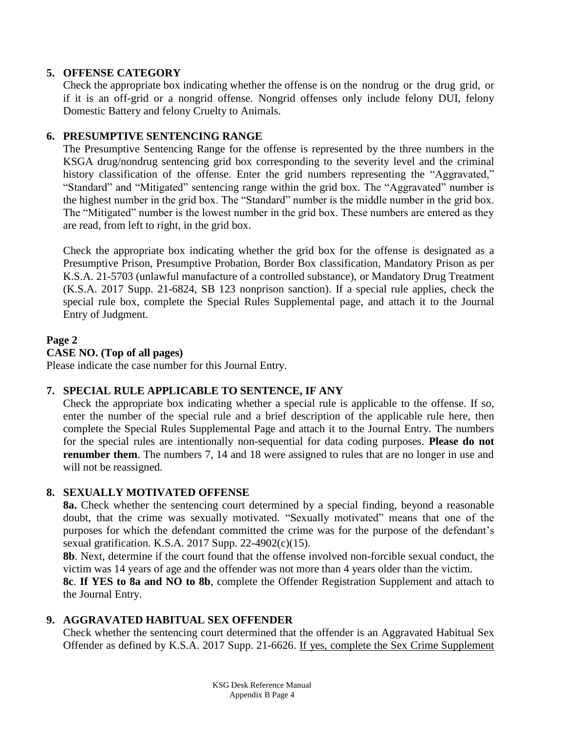## **5. OFFENSE CATEGORY**

Check the appropriate box indicating whether the offense is on the nondrug or the drug grid, or if it is an off-grid or a nongrid offense. Nongrid offenses only include felony DUI, felony Domestic Battery and felony Cruelty to Animals.

## **6. PRESUMPTIVE SENTENCING RANGE**

The Presumptive Sentencing Range for the offense is represented by the three numbers in the KSGA drug/nondrug sentencing grid box corresponding to the severity level and the criminal history classification of the offense. Enter the grid numbers representing the "Aggravated," "Standard" and "Mitigated" sentencing range within the grid box. The "Aggravated" number is the highest number in the grid box. The "Standard" number is the middle number in the grid box. The "Mitigated" number is the lowest number in the grid box. These numbers are entered as they are read, from left to right, in the grid box.

Check the appropriate box indicating whether the grid box for the offense is designated as a Presumptive Prison, Presumptive Probation, Border Box classification, Mandatory Prison as per K.S.A. 21-5703 (unlawful manufacture of a controlled substance), or Mandatory Drug Treatment (K.S.A. 2017 Supp. 21-6824, SB 123 nonprison sanction). If a special rule applies, check the special rule box, complete the Special Rules Supplemental page, and attach it to the Journal Entry of Judgment.

### **Page 2**

### **CASE NO. (Top of all pages)**

Please indicate the case number for this Journal Entry.

### **7. SPECIAL RULE APPLICABLE TO SENTENCE, IF ANY**

Check the appropriate box indicating whether a special rule is applicable to the offense. If so, enter the number of the special rule and a brief description of the applicable rule here, then complete the Special Rules Supplemental Page and attach it to the Journal Entry. The numbers for the special rules are intentionally non-sequential for data coding purposes. **Please do not renumber them**. The numbers 7, 14 and 18 were assigned to rules that are no longer in use and will not be reassigned.

### **8. SEXUALLY MOTIVATED OFFENSE**

**8a.** Check whether the sentencing court determined by a special finding, beyond a reasonable doubt, that the crime was sexually motivated. "Sexually motivated" means that one of the purposes for which the defendant committed the crime was for the purpose of the defendant's sexual gratification. K.S.A. 2017 Supp. 22-4902(c)(15).

**8b**. Next, determine if the court found that the offense involved non-forcible sexual conduct, the victim was 14 years of age and the offender was not more than 4 years older than the victim.

**8c**. **If YES to 8a and NO to 8b**, complete the Offender Registration Supplement and attach to the Journal Entry.

### **9. AGGRAVATED HABITUAL SEX OFFENDER**

Check whether the sentencing court determined that the offender is an Aggravated Habitual Sex Offender as defined by K.S.A. 2017 Supp. 21-6626. If yes, complete the Sex Crime Supplement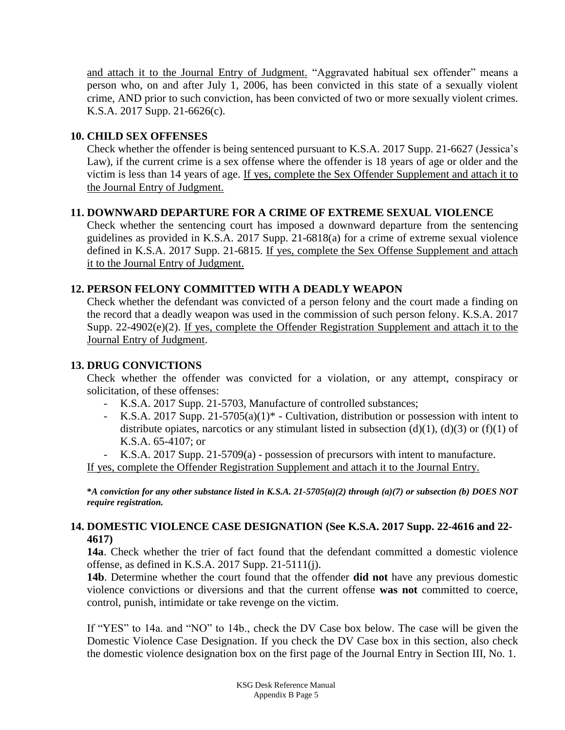and attach it to the Journal Entry of Judgment. "Aggravated habitual sex offender" means a person who, on and after July 1, 2006, has been convicted in this state of a sexually violent crime, AND prior to such conviction, has been convicted of two or more sexually violent crimes. K.S.A. 2017 Supp. 21-6626(c).

## **10. CHILD SEX OFFENSES**

Check whether the offender is being sentenced pursuant to K.S.A. 2017 Supp. 21-6627 (Jessica's Law), if the current crime is a sex offense where the offender is 18 years of age or older and the victim is less than 14 years of age. If yes, complete the Sex Offender Supplement and attach it to the Journal Entry of Judgment.

## **11. DOWNWARD DEPARTURE FOR A CRIME OF EXTREME SEXUAL VIOLENCE**

Check whether the sentencing court has imposed a downward departure from the sentencing guidelines as provided in K.S.A. 2017 Supp. 21-6818(a) for a crime of extreme sexual violence defined in K.S.A. 2017 Supp. 21-6815. If yes, complete the Sex Offense Supplement and attach it to the Journal Entry of Judgment.

## **12. PERSON FELONY COMMITTED WITH A DEADLY WEAPON**

Check whether the defendant was convicted of a person felony and the court made a finding on the record that a deadly weapon was used in the commission of such person felony. K.S.A. 2017 Supp. 22-4902(e)(2). If yes, complete the Offender Registration Supplement and attach it to the Journal Entry of Judgment.

## **13. DRUG CONVICTIONS**

Check whether the offender was convicted for a violation, or any attempt, conspiracy or solicitation, of these offenses:

- K.S.A. 2017 Supp. 21-5703, Manufacture of controlled substances;
- K.S.A. 2017 Supp. 21-5705(a)(1)\* Cultivation, distribution or possession with intent to distribute opiates, narcotics or any stimulant listed in subsection (d)(1), (d)(3) or (f)(1) of K.S.A. 65-4107; or
- K.S.A. 2017 Supp. 21-5709(a) possession of precursors with intent to manufacture.

If yes, complete the Offender Registration Supplement and attach it to the Journal Entry.

**\****A conviction for any other substance listed in K.S.A. 21-5705(a)(2) through (a)(7) or subsection (b) DOES NOT require registration.*

## **14. DOMESTIC VIOLENCE CASE DESIGNATION (See K.S.A. 2017 Supp. 22-4616 and 22- 4617)**

**14a**. Check whether the trier of fact found that the defendant committed a domestic violence offense, as defined in K.S.A. 2017 Supp. 21-5111(j).

**14b**. Determine whether the court found that the offender **did not** have any previous domestic violence convictions or diversions and that the current offense **was not** committed to coerce, control, punish, intimidate or take revenge on the victim.

If "YES" to 14a. and "NO" to 14b., check the DV Case box below. The case will be given the Domestic Violence Case Designation. If you check the DV Case box in this section, also check the domestic violence designation box on the first page of the Journal Entry in Section III, No. 1.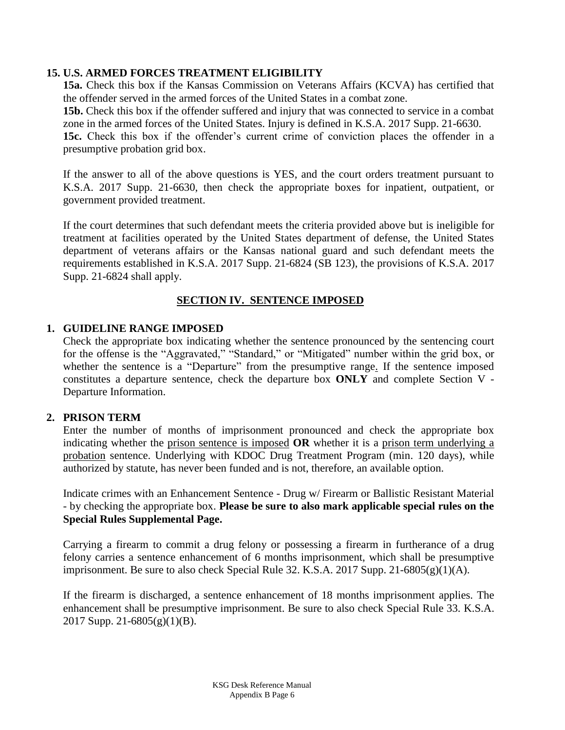### **15. U.S. ARMED FORCES TREATMENT ELIGIBILITY**

**15a.** Check this box if the Kansas Commission on Veterans Affairs (KCVA) has certified that the offender served in the armed forces of the United States in a combat zone.

**15b.** Check this box if the offender suffered and injury that was connected to service in a combat zone in the armed forces of the United States. Injury is defined in K.S.A. 2017 Supp. 21-6630.

15c. Check this box if the offender's current crime of conviction places the offender in a presumptive probation grid box.

If the answer to all of the above questions is YES, and the court orders treatment pursuant to K.S.A. 2017 Supp. 21-6630, then check the appropriate boxes for inpatient, outpatient, or government provided treatment.

If the court determines that such defendant meets the criteria provided above but is ineligible for treatment at facilities operated by the United States department of defense, the United States department of veterans affairs or the Kansas national guard and such defendant meets the requirements established in K.S.A. 2017 Supp. 21-6824 (SB 123), the provisions of K.S.A. 2017 Supp. 21-6824 shall apply.

## **SECTION IV. SENTENCE IMPOSED**

### **1. GUIDELINE RANGE IMPOSED**

Check the appropriate box indicating whether the sentence pronounced by the sentencing court for the offense is the "Aggravated," "Standard," or "Mitigated" number within the grid box, or whether the sentence is a "Departure" from the presumptive range. If the sentence imposed constitutes a departure sentence, check the departure box **ONLY** and complete Section V - Departure Information.

### **2. PRISON TERM**

Enter the number of months of imprisonment pronounced and check the appropriate box indicating whether the prison sentence is imposed **OR** whether it is a prison term underlying a probation sentence. Underlying with KDOC Drug Treatment Program (min. 120 days), while authorized by statute, has never been funded and is not, therefore, an available option.

Indicate crimes with an Enhancement Sentence - Drug w/ Firearm or Ballistic Resistant Material - by checking the appropriate box. **Please be sure to also mark applicable special rules on the Special Rules Supplemental Page.**

Carrying a firearm to commit a drug felony or possessing a firearm in furtherance of a drug felony carries a sentence enhancement of 6 months imprisonment, which shall be presumptive imprisonment. Be sure to also check Special Rule 32. K.S.A. 2017 Supp. 21-6805 $(g)(1)(A)$ .

If the firearm is discharged, a sentence enhancement of 18 months imprisonment applies. The enhancement shall be presumptive imprisonment. Be sure to also check Special Rule 33. K.S.A. 2017 Supp. 21-6805(g)(1)(B).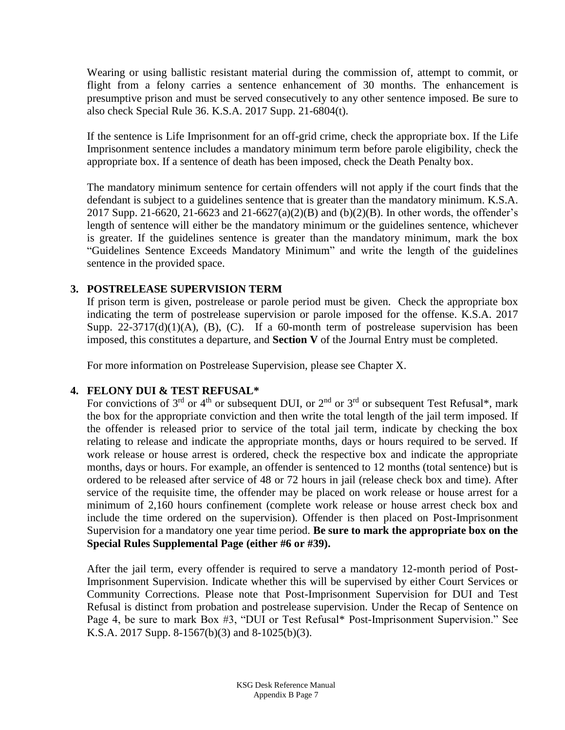Wearing or using ballistic resistant material during the commission of, attempt to commit, or flight from a felony carries a sentence enhancement of 30 months. The enhancement is presumptive prison and must be served consecutively to any other sentence imposed. Be sure to also check Special Rule 36. K.S.A. 2017 Supp. 21-6804(t).

If the sentence is Life Imprisonment for an off-grid crime, check the appropriate box. If the Life Imprisonment sentence includes a mandatory minimum term before parole eligibility, check the appropriate box. If a sentence of death has been imposed, check the Death Penalty box.

The mandatory minimum sentence for certain offenders will not apply if the court finds that the defendant is subject to a guidelines sentence that is greater than the mandatory minimum. K.S.A. 2017 Supp. 21-6620, 21-6623 and 21-6627(a)(2)(B) and (b)(2)(B). In other words, the offender's length of sentence will either be the mandatory minimum or the guidelines sentence, whichever is greater. If the guidelines sentence is greater than the mandatory minimum, mark the box "Guidelines Sentence Exceeds Mandatory Minimum" and write the length of the guidelines sentence in the provided space.

## **3. POSTRELEASE SUPERVISION TERM**

If prison term is given, postrelease or parole period must be given. Check the appropriate box indicating the term of postrelease supervision or parole imposed for the offense. K.S.A. 2017 Supp.  $22-3717(d)(1)(A)$ , (B), (C). If a 60-month term of postrelease supervision has been imposed, this constitutes a departure, and **Section V** of the Journal Entry must be completed.

For more information on Postrelease Supervision, please see Chapter X.

## **4. FELONY DUI & TEST REFUSAL\***

For convictions of  $3<sup>rd</sup>$  or  $4<sup>th</sup>$  or subsequent DUI, or  $2<sup>nd</sup>$  or  $3<sup>rd</sup>$  or subsequent Test Refusal\*, mark the box for the appropriate conviction and then write the total length of the jail term imposed. If the offender is released prior to service of the total jail term, indicate by checking the box relating to release and indicate the appropriate months, days or hours required to be served. If work release or house arrest is ordered, check the respective box and indicate the appropriate months, days or hours. For example, an offender is sentenced to 12 months (total sentence) but is ordered to be released after service of 48 or 72 hours in jail (release check box and time). After service of the requisite time, the offender may be placed on work release or house arrest for a minimum of 2,160 hours confinement (complete work release or house arrest check box and include the time ordered on the supervision). Offender is then placed on Post-Imprisonment Supervision for a mandatory one year time period. **Be sure to mark the appropriate box on the Special Rules Supplemental Page (either #6 or #39).**

After the jail term, every offender is required to serve a mandatory 12-month period of Post-Imprisonment Supervision. Indicate whether this will be supervised by either Court Services or Community Corrections. Please note that Post-Imprisonment Supervision for DUI and Test Refusal is distinct from probation and postrelease supervision. Under the Recap of Sentence on Page 4, be sure to mark Box #3, "DUI or Test Refusal\* Post-Imprisonment Supervision." See K.S.A. 2017 Supp. 8-1567(b)(3) and 8-1025(b)(3).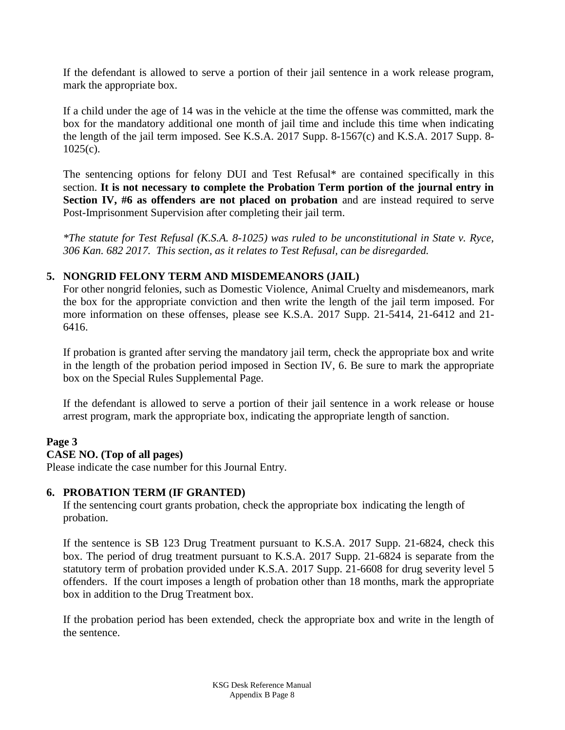If the defendant is allowed to serve a portion of their jail sentence in a work release program, mark the appropriate box.

If a child under the age of 14 was in the vehicle at the time the offense was committed, mark the box for the mandatory additional one month of jail time and include this time when indicating the length of the jail term imposed. See K.S.A. 2017 Supp. 8-1567(c) and K.S.A. 2017 Supp. 8-  $1025(c)$ .

The sentencing options for felony DUI and Test Refusal\* are contained specifically in this section. **It is not necessary to complete the Probation Term portion of the journal entry in Section IV, #6 as offenders are not placed on probation** and are instead required to serve Post-Imprisonment Supervision after completing their jail term.

*\*The statute for Test Refusal (K.S.A. 8-1025) was ruled to be unconstitutional in State v. Ryce, 306 Kan. 682 2017. This section, as it relates to Test Refusal, can be disregarded.* 

## **5. NONGRID FELONY TERM AND MISDEMEANORS (JAIL)**

For other nongrid felonies, such as Domestic Violence, Animal Cruelty and misdemeanors, mark the box for the appropriate conviction and then write the length of the jail term imposed. For more information on these offenses, please see K.S.A. 2017 Supp. 21-5414, 21-6412 and 21- 6416.

If probation is granted after serving the mandatory jail term, check the appropriate box and write in the length of the probation period imposed in Section IV, 6. Be sure to mark the appropriate box on the Special Rules Supplemental Page.

If the defendant is allowed to serve a portion of their jail sentence in a work release or house arrest program, mark the appropriate box, indicating the appropriate length of sanction.

## **Page 3**

## **CASE NO. (Top of all pages)**

Please indicate the case number for this Journal Entry.

### **6. PROBATION TERM (IF GRANTED)**

If the sentencing court grants probation, check the appropriate box indicating the length of probation.

If the sentence is SB 123 Drug Treatment pursuant to K.S.A. 2017 Supp. 21-6824, check this box. The period of drug treatment pursuant to K.S.A. 2017 Supp. 21-6824 is separate from the statutory term of probation provided under K.S.A. 2017 Supp. 21-6608 for drug severity level 5 offenders. If the court imposes a length of probation other than 18 months, mark the appropriate box in addition to the Drug Treatment box.

If the probation period has been extended, check the appropriate box and write in the length of the sentence.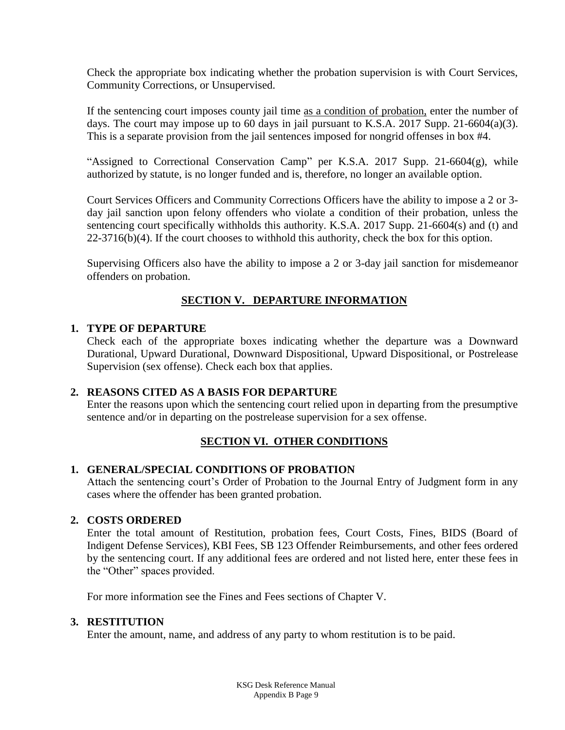Check the appropriate box indicating whether the probation supervision is with Court Services, Community Corrections, or Unsupervised.

If the sentencing court imposes county jail time as a condition of probation, enter the number of days. The court may impose up to 60 days in jail pursuant to K.S.A. 2017 Supp. 21-6604(a)(3). This is a separate provision from the jail sentences imposed for nongrid offenses in box #4.

"Assigned to Correctional Conservation Camp" per K.S.A. 2017 Supp. 21-6604(g), while authorized by statute, is no longer funded and is, therefore, no longer an available option.

Court Services Officers and Community Corrections Officers have the ability to impose a 2 or 3 day jail sanction upon felony offenders who violate a condition of their probation, unless the sentencing court specifically withholds this authority. K.S.A. 2017 Supp. 21-6604(s) and (t) and 22-3716(b)(4). If the court chooses to withhold this authority, check the box for this option.

Supervising Officers also have the ability to impose a 2 or 3-day jail sanction for misdemeanor offenders on probation.

## **SECTION V. DEPARTURE INFORMATION**

### **1. TYPE OF DEPARTURE**

Check each of the appropriate boxes indicating whether the departure was a Downward Durational, Upward Durational, Downward Dispositional, Upward Dispositional, or Postrelease Supervision (sex offense). Check each box that applies.

## **2. REASONS CITED AS A BASIS FOR DEPARTURE**

Enter the reasons upon which the sentencing court relied upon in departing from the presumptive sentence and/or in departing on the postrelease supervision for a sex offense.

## **SECTION VI. OTHER CONDITIONS**

## **1. GENERAL/SPECIAL CONDITIONS OF PROBATION**

Attach the sentencing court's Order of Probation to the Journal Entry of Judgment form in any cases where the offender has been granted probation.

## **2. COSTS ORDERED**

Enter the total amount of Restitution, probation fees, Court Costs, Fines, BIDS (Board of Indigent Defense Services), KBI Fees, SB 123 Offender Reimbursements, and other fees ordered by the sentencing court. If any additional fees are ordered and not listed here, enter these fees in the "Other" spaces provided.

For more information see the Fines and Fees sections of Chapter V.

### **3. RESTITUTION**

Enter the amount, name, and address of any party to whom restitution is to be paid.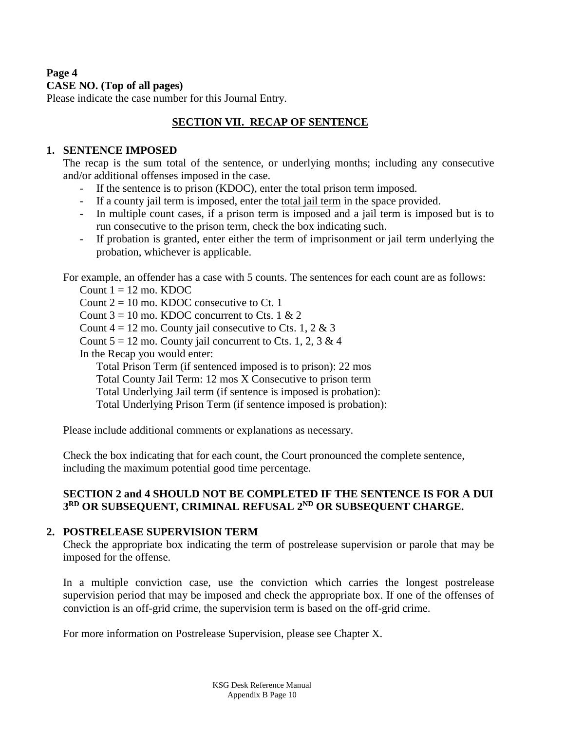## **Page 4 CASE NO. (Top of all pages)**

Please indicate the case number for this Journal Entry.

## **SECTION VII. RECAP OF SENTENCE**

## **1. SENTENCE IMPOSED**

The recap is the sum total of the sentence, or underlying months; including any consecutive and/or additional offenses imposed in the case.

- If the sentence is to prison (KDOC), enter the total prison term imposed.
- If a county jail term is imposed, enter the total jail term in the space provided.
- In multiple count cases, if a prison term is imposed and a jail term is imposed but is to run consecutive to the prison term, check the box indicating such.
- If probation is granted, enter either the term of imprisonment or jail term underlying the probation, whichever is applicable.

For example, an offender has a case with 5 counts. The sentences for each count are as follows:

Count  $1 = 12$  mo. KDOC

Count  $2 = 10$  mo. KDOC consecutive to Ct. 1

Count  $3 = 10$  mo. KDOC concurrent to Cts. 1 & 2

Count  $4 = 12$  mo. County jail consecutive to Cts. 1, 2 & 3

Count  $5 = 12$  mo. County jail concurrent to Cts. 1, 2, 3 & 4

In the Recap you would enter:

Total Prison Term (if sentenced imposed is to prison): 22 mos

Total County Jail Term: 12 mos X Consecutive to prison term

Total Underlying Jail term (if sentence is imposed is probation):

Total Underlying Prison Term (if sentence imposed is probation):

Please include additional comments or explanations as necessary.

Check the box indicating that for each count, the Court pronounced the complete sentence, including the maximum potential good time percentage.

## **SECTION 2 and 4 SHOULD NOT BE COMPLETED IF THE SENTENCE IS FOR A DUI 3 RD OR SUBSEQUENT, CRIMINAL REFUSAL 2 ND OR SUBSEQUENT CHARGE.**

## **2. POSTRELEASE SUPERVISION TERM**

Check the appropriate box indicating the term of postrelease supervision or parole that may be imposed for the offense.

In a multiple conviction case, use the conviction which carries the longest postrelease supervision period that may be imposed and check the appropriate box. If one of the offenses of conviction is an off-grid crime, the supervision term is based on the off-grid crime.

For more information on Postrelease Supervision, please see Chapter X.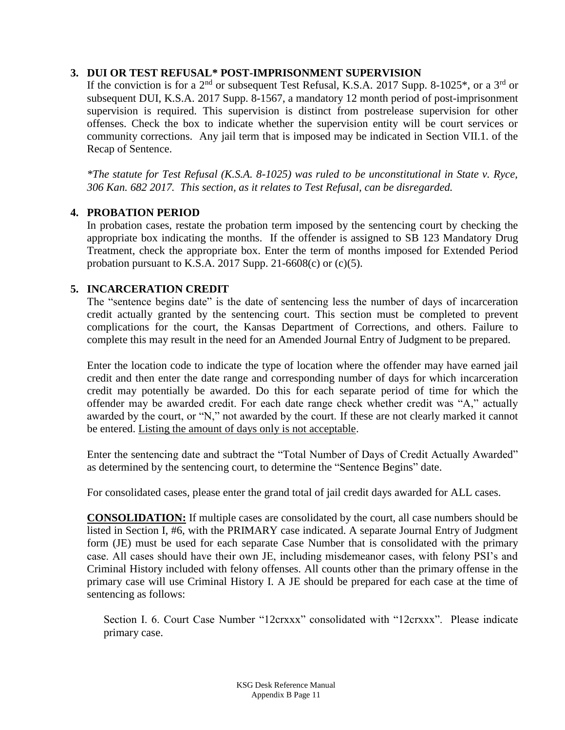### **3. DUI OR TEST REFUSAL\* POST-IMPRISONMENT SUPERVISION**

If the conviction is for a  $2<sup>nd</sup>$  or subsequent Test Refusal, K.S.A. 2017 Supp. 8-1025<sup>\*</sup>, or a 3<sup>rd</sup> or subsequent DUI, K.S.A. 2017 Supp. 8-1567, a mandatory 12 month period of post-imprisonment supervision is required. This supervision is distinct from postrelease supervision for other offenses. Check the box to indicate whether the supervision entity will be court services or community corrections. Any jail term that is imposed may be indicated in Section VII.1. of the Recap of Sentence.

*\*The statute for Test Refusal (K.S.A. 8-1025) was ruled to be unconstitutional in State v. Ryce, 306 Kan. 682 2017. This section, as it relates to Test Refusal, can be disregarded.* 

## **4. PROBATION PERIOD**

In probation cases, restate the probation term imposed by the sentencing court by checking the appropriate box indicating the months. If the offender is assigned to SB 123 Mandatory Drug Treatment, check the appropriate box. Enter the term of months imposed for Extended Period probation pursuant to K.S.A. 2017 Supp. 21-6608(c) or  $(c)(5)$ .

### **5. INCARCERATION CREDIT**

The "sentence begins date" is the date of sentencing less the number of days of incarceration credit actually granted by the sentencing court. This section must be completed to prevent complications for the court, the Kansas Department of Corrections, and others. Failure to complete this may result in the need for an Amended Journal Entry of Judgment to be prepared.

Enter the location code to indicate the type of location where the offender may have earned jail credit and then enter the date range and corresponding number of days for which incarceration credit may potentially be awarded. Do this for each separate period of time for which the offender may be awarded credit. For each date range check whether credit was "A," actually awarded by the court, or "N," not awarded by the court. If these are not clearly marked it cannot be entered. Listing the amount of days only is not acceptable.

Enter the sentencing date and subtract the "Total Number of Days of Credit Actually Awarded" as determined by the sentencing court, to determine the "Sentence Begins" date.

For consolidated cases, please enter the grand total of jail credit days awarded for ALL cases.

**CONSOLIDATION:** If multiple cases are consolidated by the court, all case numbers should be listed in Section I, #6, with the PRIMARY case indicated. A separate Journal Entry of Judgment form (JE) must be used for each separate Case Number that is consolidated with the primary case. All cases should have their own JE, including misdemeanor cases, with felony PSI's and Criminal History included with felony offenses. All counts other than the primary offense in the primary case will use Criminal History I. A JE should be prepared for each case at the time of sentencing as follows:

Section I. 6. Court Case Number "12crxxx" consolidated with "12crxxx". Please indicate primary case.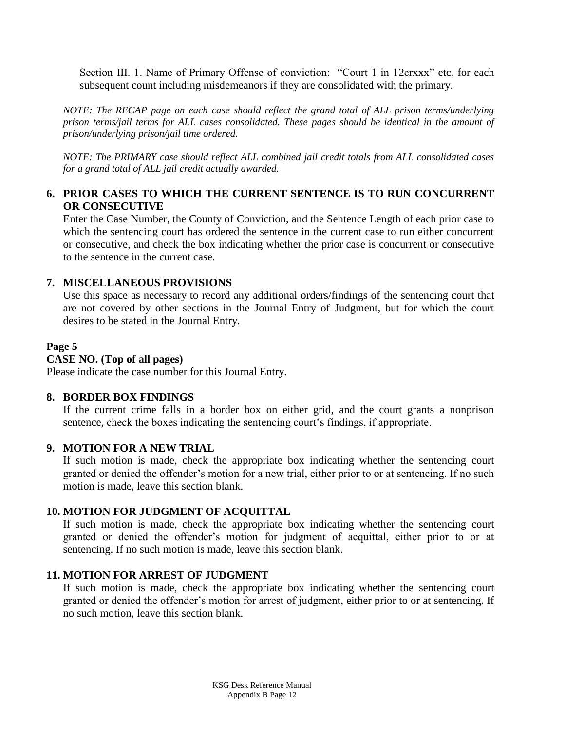Section III. 1. Name of Primary Offense of conviction: "Court 1 in 12crxxx" etc. for each subsequent count including misdemeanors if they are consolidated with the primary.

*NOTE: The RECAP page on each case should reflect the grand total of ALL prison terms/underlying prison terms/jail terms for ALL cases consolidated. These pages should be identical in the amount of prison/underlying prison/jail time ordered.*

*NOTE: The PRIMARY case should reflect ALL combined jail credit totals from ALL consolidated cases for a grand total of ALL jail credit actually awarded.*

## **6. PRIOR CASES TO WHICH THE CURRENT SENTENCE IS TO RUN CONCURRENT OR CONSECUTIVE**

Enter the Case Number, the County of Conviction, and the Sentence Length of each prior case to which the sentencing court has ordered the sentence in the current case to run either concurrent or consecutive, and check the box indicating whether the prior case is concurrent or consecutive to the sentence in the current case.

### **7. MISCELLANEOUS PROVISIONS**

Use this space as necessary to record any additional orders/findings of the sentencing court that are not covered by other sections in the Journal Entry of Judgment, but for which the court desires to be stated in the Journal Entry.

### **Page 5**

## **CASE NO. (Top of all pages)**

Please indicate the case number for this Journal Entry.

### **8. BORDER BOX FINDINGS**

If the current crime falls in a border box on either grid, and the court grants a nonprison sentence, check the boxes indicating the sentencing court's findings, if appropriate.

### **9. MOTION FOR A NEW TRIAL**

If such motion is made, check the appropriate box indicating whether the sentencing court granted or denied the offender's motion for a new trial, either prior to or at sentencing. If no such motion is made, leave this section blank.

## **10. MOTION FOR JUDGMENT OF ACQUITTAL**

If such motion is made, check the appropriate box indicating whether the sentencing court granted or denied the offender's motion for judgment of acquittal, either prior to or at sentencing. If no such motion is made, leave this section blank.

### **11. MOTION FOR ARREST OF JUDGMENT**

If such motion is made, check the appropriate box indicating whether the sentencing court granted or denied the offender's motion for arrest of judgment, either prior to or at sentencing. If no such motion, leave this section blank.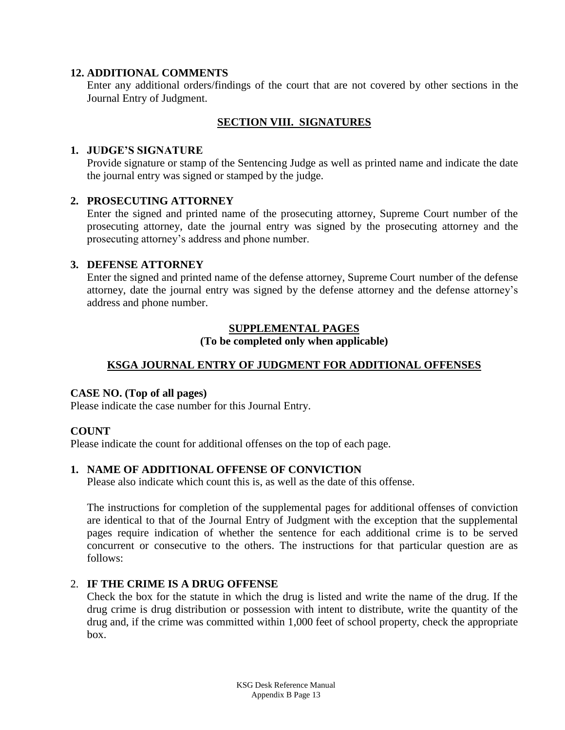### **12. ADDITIONAL COMMENTS**

Enter any additional orders/findings of the court that are not covered by other sections in the Journal Entry of Judgment.

## **SECTION VIII. SIGNATURES**

### **1. JUDGE'S SIGNATURE**

Provide signature or stamp of the Sentencing Judge as well as printed name and indicate the date the journal entry was signed or stamped by the judge.

### **2. PROSECUTING ATTORNEY**

Enter the signed and printed name of the prosecuting attorney, Supreme Court number of the prosecuting attorney, date the journal entry was signed by the prosecuting attorney and the prosecuting attorney's address and phone number.

### **3. DEFENSE ATTORNEY**

Enter the signed and printed name of the defense attorney, Supreme Court number of the defense attorney, date the journal entry was signed by the defense attorney and the defense attorney's address and phone number.

## **SUPPLEMENTAL PAGES**

## **(To be completed only when applicable)**

## **KSGA JOURNAL ENTRY OF JUDGMENT FOR ADDITIONAL OFFENSES**

### **CASE NO. (Top of all pages)**

Please indicate the case number for this Journal Entry.

## **COUNT**

Please indicate the count for additional offenses on the top of each page.

## **1. NAME OF ADDITIONAL OFFENSE OF CONVICTION**

Please also indicate which count this is, as well as the date of this offense.

The instructions for completion of the supplemental pages for additional offenses of conviction are identical to that of the Journal Entry of Judgment with the exception that the supplemental pages require indication of whether the sentence for each additional crime is to be served concurrent or consecutive to the others. The instructions for that particular question are as follows:

## 2. **IF THE CRIME IS A DRUG OFFENSE**

Check the box for the statute in which the drug is listed and write the name of the drug. If the drug crime is drug distribution or possession with intent to distribute, write the quantity of the drug and, if the crime was committed within 1,000 feet of school property, check the appropriate box.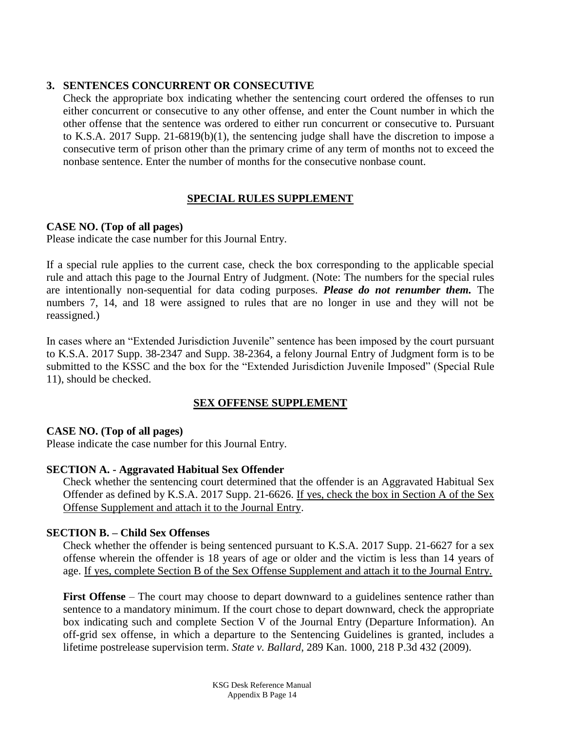### **3. SENTENCES CONCURRENT OR CONSECUTIVE**

Check the appropriate box indicating whether the sentencing court ordered the offenses to run either concurrent or consecutive to any other offense, and enter the Count number in which the other offense that the sentence was ordered to either run concurrent or consecutive to. Pursuant to K.S.A. 2017 Supp. 21-6819(b)(1), the sentencing judge shall have the discretion to impose a consecutive term of prison other than the primary crime of any term of months not to exceed the nonbase sentence. Enter the number of months for the consecutive nonbase count.

## **SPECIAL RULES SUPPLEMENT**

## **CASE NO. (Top of all pages)**

Please indicate the case number for this Journal Entry.

If a special rule applies to the current case, check the box corresponding to the applicable special rule and attach this page to the Journal Entry of Judgment. (Note: The numbers for the special rules are intentionally non-sequential for data coding purposes. *Please do not renumber them.* The numbers 7, 14, and 18 were assigned to rules that are no longer in use and they will not be reassigned.)

In cases where an "Extended Jurisdiction Juvenile" sentence has been imposed by the court pursuant to K.S.A. 2017 Supp. 38-2347 and Supp. 38-2364, a felony Journal Entry of Judgment form is to be submitted to the KSSC and the box for the "Extended Jurisdiction Juvenile Imposed" (Special Rule 11), should be checked.

## **SEX OFFENSE SUPPLEMENT**

## **CASE NO. (Top of all pages)**

Please indicate the case number for this Journal Entry.

## **SECTION A. - Aggravated Habitual Sex Offender**

Check whether the sentencing court determined that the offender is an Aggravated Habitual Sex Offender as defined by K.S.A. 2017 Supp. 21-6626. If yes, check the box in Section A of the Sex Offense Supplement and attach it to the Journal Entry.

## **SECTION B. – Child Sex Offenses**

Check whether the offender is being sentenced pursuant to K.S.A. 2017 Supp. 21-6627 for a sex offense wherein the offender is 18 years of age or older and the victim is less than 14 years of age. If yes, complete Section B of the Sex Offense Supplement and attach it to the Journal Entry.

**First Offense** – The court may choose to depart downward to a guidelines sentence rather than sentence to a mandatory minimum. If the court chose to depart downward, check the appropriate box indicating such and complete Section V of the Journal Entry (Departure Information). An off-grid sex offense, in which a departure to the Sentencing Guidelines is granted, includes a lifetime postrelease supervision term. *State v. Ballard*, 289 Kan. 1000, 218 P.3d 432 (2009).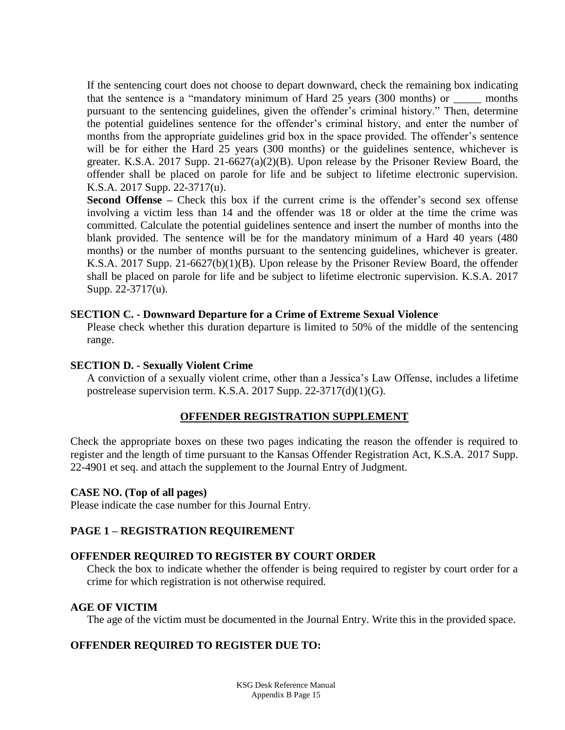If the sentencing court does not choose to depart downward, check the remaining box indicating that the sentence is a "mandatory minimum of Hard 25 years (300 months) or \_\_\_\_\_ months pursuant to the sentencing guidelines, given the offender's criminal history." Then, determine the potential guidelines sentence for the offender's criminal history, and enter the number of months from the appropriate guidelines grid box in the space provided. The offender's sentence will be for either the Hard 25 years (300 months) or the guidelines sentence, whichever is greater. K.S.A. 2017 Supp. 21-6627(a)(2)(B). Upon release by the Prisoner Review Board, the offender shall be placed on parole for life and be subject to lifetime electronic supervision. K.S.A. 2017 Supp. 22-3717(u).

**Second Offense** – Check this box if the current crime is the offender's second sex offense involving a victim less than 14 and the offender was 18 or older at the time the crime was committed. Calculate the potential guidelines sentence and insert the number of months into the blank provided. The sentence will be for the mandatory minimum of a Hard 40 years (480 months) or the number of months pursuant to the sentencing guidelines, whichever is greater. K.S.A. 2017 Supp. 21-6627(b)(1)(B). Upon release by the Prisoner Review Board, the offender shall be placed on parole for life and be subject to lifetime electronic supervision. K.S.A. 2017 Supp. 22-3717(u).

### **SECTION C. - Downward Departure for a Crime of Extreme Sexual Violence**

Please check whether this duration departure is limited to 50% of the middle of the sentencing range.

## **SECTION D. - Sexually Violent Crime**

A conviction of a sexually violent crime, other than a Jessica's Law Offense, includes a lifetime postrelease supervision term. K.S.A. 2017 Supp. 22-3717(d)(1)(G).

## **OFFENDER REGISTRATION SUPPLEMENT**

Check the appropriate boxes on these two pages indicating the reason the offender is required to register and the length of time pursuant to the Kansas Offender Registration Act, K.S.A. 2017 Supp. 22-4901 et seq. and attach the supplement to the Journal Entry of Judgment.

### **CASE NO. (Top of all pages)**

Please indicate the case number for this Journal Entry.

## **PAGE 1 – REGISTRATION REQUIREMENT**

### **OFFENDER REQUIRED TO REGISTER BY COURT ORDER**

Check the box to indicate whether the offender is being required to register by court order for a crime for which registration is not otherwise required.

### **AGE OF VICTIM**

The age of the victim must be documented in the Journal Entry. Write this in the provided space.

## **OFFENDER REQUIRED TO REGISTER DUE TO:**